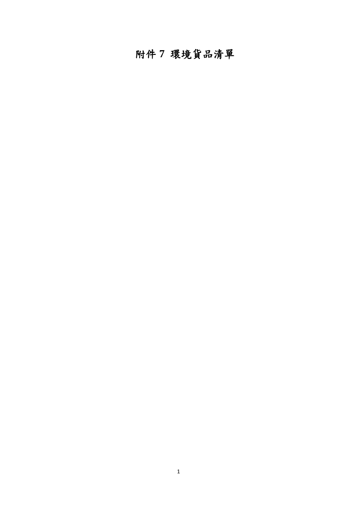附件 **7** 環境貨品清單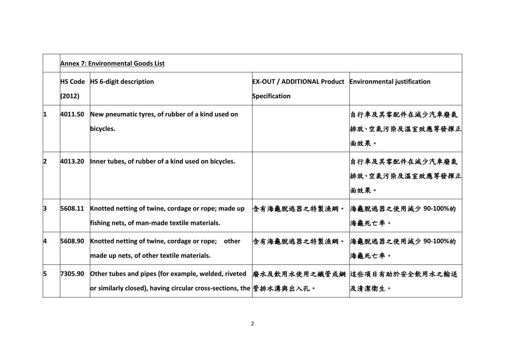|                         | <b>Annex 7: Environmental Goods List</b> |                                                                                                                              |                                                                                 |                                              |
|-------------------------|------------------------------------------|------------------------------------------------------------------------------------------------------------------------------|---------------------------------------------------------------------------------|----------------------------------------------|
|                         | (2012)                                   | HS Code   HS 6-digit description                                                                                             | <b>EX-OUT / ADDITIONAL Product Environmental justification</b><br>Specification |                                              |
| 1                       | 4011.50                                  | New pneumatic tyres, of rubber of a kind used on<br>bicycles.                                                                |                                                                                 | 自行車及其零配件在減少汽車廢氣<br>排放、空氣污染及溫室效應等發揮正<br> 面效果。 |
| $\overline{\mathbf{2}}$ | 4013.20                                  | Inner tubes, of rubber of a kind used on bicycles.                                                                           |                                                                                 | 自行車及其零配件在減少汽車廢氣<br>排放、空氣污染及溫室效應等發揮正<br>面效果。  |
| 3                       | 5608.11                                  | Knotted netting of twine, cordage or rope; made up<br>fishing nets, of man-made textile materials.                           | 含有海龜脫逃器之特製漁網。                                                                   | 海龜脫逃器之使用減少 90-100%的<br>海龜死亡率。                |
| 4                       | 5608.90                                  | Knotted netting of twine, cordage or rope; other<br>made up nets, of other textile materials.                                | 含有海龜脫逃器之特製漁網。                                                                   | 海龜脫逃器之使用減少 90-100%的<br>海龜死亡率。                |
| 5                       | 7305.90                                  | Other tubes and pipes (for example, welded, riveted<br> or similarly closed), having circular cross-sections, the  管排水溝與出入孔。 |                                                                                 | 廢水及飲用水使用之鐵管或鋼 這些項目有助於安全飲用水之輸送<br>及清潔衛生。      |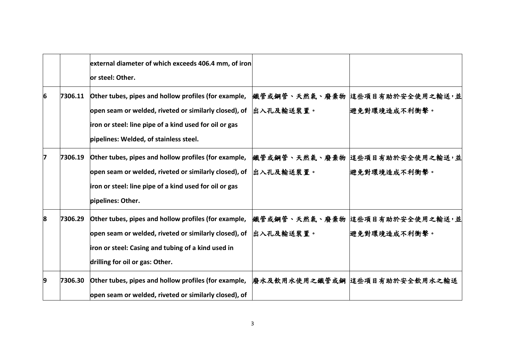|   |         | external diameter of which exceeds 406.4 mm, of iron<br>or steel: Other.                                                                                                                                          |                   |                                                 |
|---|---------|-------------------------------------------------------------------------------------------------------------------------------------------------------------------------------------------------------------------|-------------------|-------------------------------------------------|
| 6 | 7306.11 | Other tubes, pipes and hollow profiles (for example,<br>open seam or welded, riveted or similarly closed), of<br>iron or steel: line pipe of a kind used for oil or gas<br>pipelines: Welded, of stainless steel. | 出入孔及輸送裝置。         | 鐵管或鋼管、天然氣、廢棄物 這些項目有助於安全使用之輸送,並<br>避免對環境造成不利衝擊。  |
|   | 7306.19 | Other tubes, pipes and hollow profiles (for example,<br>open seam or welded, riveted or similarly closed), of<br>iron or steel: line pipe of a kind used for oil or gas<br>pipelines: Other.                      | <b> 出入孔及輸送裝置。</b> | 鐵管或鋼管、天然氣、廢棄物 這些項目有助於安全使用之輸送,並<br>避免對環境造成不利衝擊。  |
| 8 | 7306.29 | Other tubes, pipes and hollow profiles (for example,<br>open seam or welded, riveted or similarly closed), of<br>iron or steel: Casing and tubing of a kind used in<br>drilling for oil or gas: Other.            | 出入孔及輸送裝置。         | 鐵管或鋼管、天然氣、廢棄物 這些項目有助於安全使用之輸送,並<br> 避免對環境造成不利衝擊。 |
| 9 | 7306.30 | Other tubes, pipes and hollow profiles (for example,<br>open seam or welded, riveted or similarly closed), of                                                                                                     |                   | 廢水及飲用水使用之鐵管或鋼  這些項目有助於安全飲用水之輸送                  |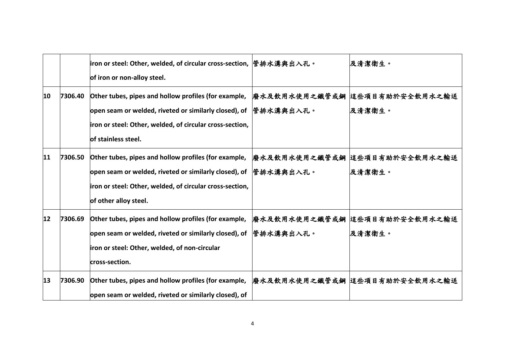|    |         | iron or steel: Other, welded, of circular cross-section,                  管排水溝與出入孔。<br>of iron or non-alloy steel.                                                                                 |                            | 及清潔衛生。                                   |
|----|---------|----------------------------------------------------------------------------------------------------------------------------------------------------------------------------------------------------|----------------------------|------------------------------------------|
| 10 | 7306.40 | Other tubes, pipes and hollow profiles (for example,<br>open seam or welded, riveted or similarly closed), of<br>iron or steel: Other, welded, of circular cross-section,<br>of stainless steel.   | 廢水及飲用水使用之鐵管或鋼<br>管排水溝與出入孔。 | 這些項目有助於安全飲用水之輸送<br>及清潔衛生。                |
| 11 | 7306.50 | Other tubes, pipes and hollow profiles (for example,<br>open seam or welded, riveted or similarly closed), of<br>iron or steel: Other, welded, of circular cross-section,<br>of other alloy steel. | 管排水溝與出入孔。                  | 廢水及飲用水使用之鐵管或鋼  這些項目有助於安全飲用水之輸送<br>及清潔衛生。 |
| 12 | 7306.69 | Other tubes, pipes and hollow profiles (for example,<br>open seam or welded, riveted or similarly closed), of<br>iron or steel: Other, welded, of non-circular<br>cross-section.                   | 管排水溝與出入孔。                  | 廢水及飲用水使用之鐵管或鋼 這些項目有助於安全飲用水之輸送<br>及清潔衛生。  |
| 13 | 7306.90 | Other tubes, pipes and hollow profiles (for example,<br>open seam or welded, riveted or similarly closed), of                                                                                      |                            | 廢水及飲用水使用之鐵管或鋼  這些項目有助於安全飲用水之輸送           |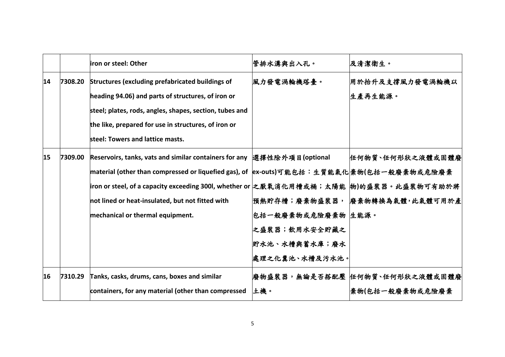|    |         | iron or steel: Other                                                                                                                                                                                                                                                                                                                                      | 管排水溝與出入孔。                                                              | 及清潔衛生。                                               |
|----|---------|-----------------------------------------------------------------------------------------------------------------------------------------------------------------------------------------------------------------------------------------------------------------------------------------------------------------------------------------------------------|------------------------------------------------------------------------|------------------------------------------------------|
| 14 | 7308.20 | Structures (excluding prefabricated buildings of<br>heading 94.06) and parts of structures, of iron or<br>steel; plates, rods, angles, shapes, section, tubes and<br>the like, prepared for use in structures, of iron or<br>steel: Towers and lattice masts.                                                                                             | 風力發電渦輪機塔臺。                                                             | 用於抬升及支撐風力發電渦輪機以<br>生產再生能源。                           |
| 15 | 7309.00 | Reservoirs, tanks, vats and similar containers for any 選擇性除外項目(optional<br> material (other than compressed or liquefied gas), of  ex-outs)可能包括:生質能氣化 棄物(包括一般廢棄物或危險廢棄<br> iron or steel, of a capacity exceeding 300l, whether or 之厭氧消化用槽或桶;太陽能  物)的盛裝器。此盛裝物可有助於將<br>not lined or heat-insulated, but not fitted with<br>mechanical or thermal equipment. | 包括一般廢棄物或危險廢棄物 生能源。<br>之盛裝器;飲用水安全貯藏之<br>貯水池、水槽與蓄水庫;廢水<br>處理之化糞池、水槽及污水池。 | 任何物質、任何形狀之液體或固體廢<br> 預熱貯存槽;廢棄物盛裝器,  廢棄物轉換為氣體,此氣體可用於產 |
| 16 | 7310.29 | Tanks, casks, drums, cans, boxes and similar<br>containers, for any material (other than compressed                                                                                                                                                                                                                                                       | 上機。                                                                    | 廢物盛裝器,無論是否搭配壓  任何物質、任何形狀之液體或固體廢<br>棄物(包括一般廢棄物或危險廢棄   |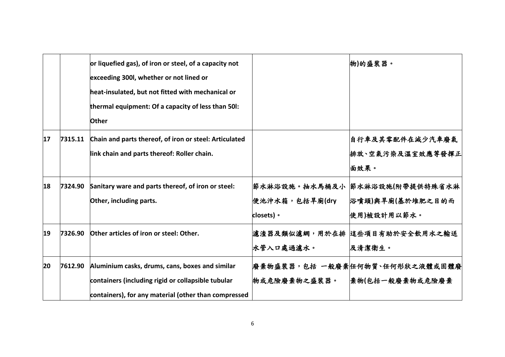|    |         | or liquefied gas), of iron or steel, of a capacity not<br>exceeding 300l, whether or not lined or<br>heat-insulated, but not fitted with mechanical or<br>thermal equipment: Of a capacity of less than 50I:<br><b>Other</b> |                              | 物)的盛裝器。                                                            |
|----|---------|------------------------------------------------------------------------------------------------------------------------------------------------------------------------------------------------------------------------------|------------------------------|--------------------------------------------------------------------|
| 17 | 7315.11 | Chain and parts thereof, of iron or steel: Articulated<br>link chain and parts thereof: Roller chain.                                                                                                                        |                              | 自行車及其零配件在減少汽車廢氣<br>排放、空氣污染及溫室效應等發揮正<br> 面效果。                       |
| 18 | 7324.90 | Sanitary ware and parts thereof, of iron or steel:<br>Other, including parts.                                                                                                                                                | 便池沖水箱,包括旱廁(dry<br>closets) • | 節水淋浴設施。抽水馬桶及小  節水淋浴設施(附帶提供特殊省水淋<br>浴噴頭)與旱廁(基於堆肥之目的而<br>使用)被設計用以節水。 |
| 19 | 7326.90 | Other articles of iron or steel: Other.                                                                                                                                                                                      | 水管入口處過濾水。                    | 濾渣器及類似濾網,用於在排  這些項目有助於安全飲用水之輸送<br>及清潔衛生。                           |
| 20 | 7612.90 | Aluminium casks, drums, cans, boxes and similar<br>containers (including rigid or collapsible tubular<br>containers), for any material (other than compressed                                                                | 物或危險廢棄物之盛裝器。                 | 廢棄物盛裝器,包括 一般廢棄 任何物質、任何形狀之液體或固體廢<br> 棄物(包括一般廢棄物或危險廢棄                |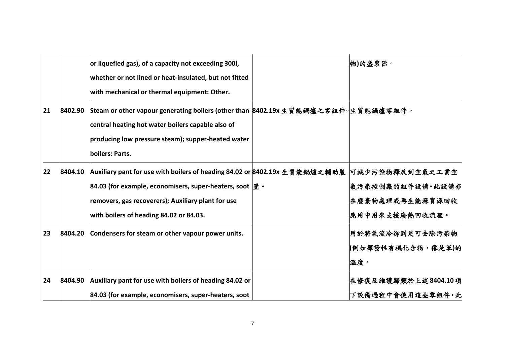|    |         | or liquefied gas), of a capacity not exceeding 300l,<br>whether or not lined or heat-insulated, but not fitted<br>with mechanical or thermal equipment: Other.                                                                                                         | 物)的盛裝器。                                               |
|----|---------|------------------------------------------------------------------------------------------------------------------------------------------------------------------------------------------------------------------------------------------------------------------------|-------------------------------------------------------|
| 21 | 8402.90 | Steam or other vapour generating boilers (other than 8402.19x 生質能鍋爐之零組件。生質能鍋爐零組件。<br>central heating hot water boilers capable also of<br>producing low pressure steam); supper-heated water<br>boilers: Parts.                                                        |                                                       |
| 22 | 8404.10 | Auxiliary pant for use with boilers of heading 84.02 or 8402.19x 生質能鍋爐之輔助裝 可减少污染物釋放到空氣之工業空<br>84.03 (for example, economisers, super-heaters, soot $\mathbf{F} \cdot$<br>removers, gas recoverers); Auxiliary plant for use<br>with boilers of heading 84.02 or 84.03. | 氣污染控制廠的組件設備。此設備亦<br>在廢棄物處理或再生能源資源回收<br>應用中用來支援廢熱回收流程。 |
| 23 | 8404.20 | Condensers for steam or other vapour power units.                                                                                                                                                                                                                      | 用於將氣流冷卻到足可去除污染物<br>(例如揮發性有機化合物,像是苯)的<br>溫度。           |
| 24 | 8404.90 | Auxiliary pant for use with boilers of heading 84.02 or<br>84.03 (for example, economisers, super-heaters, soot                                                                                                                                                        | 在修復及維護歸類於上述8404.10項<br>下設備過程中會使用這些零組件。此               |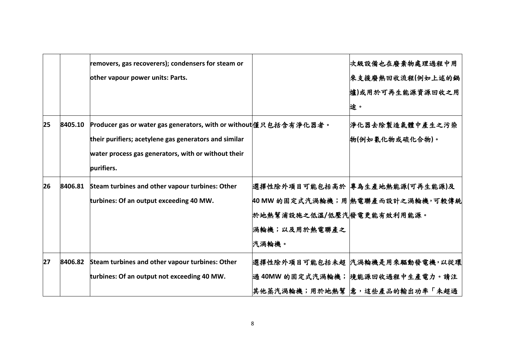|    |         | removers, gas recoverers); condensers for steam or               |                            | 次級設備也在廢棄物處理過程中用                    |
|----|---------|------------------------------------------------------------------|----------------------------|------------------------------------|
|    |         | other vapour power units: Parts.                                 |                            | 來支援廢熱回收流程(例如上述的鍋                   |
|    |         |                                                                  |                            | 爐)或用於可再生能源資源回收之用                   |
|    |         |                                                                  |                            | 途。                                 |
| 25 | 8405.10 | Producer gas or water gas generators, with or without懂只包括含有净化器者。 |                            | 净化器去除製造氣體中產生之污染                    |
|    |         | their purifiers; acetylene gas generators and similar            |                            | 物(例如氰化物或硫化合物)。                     |
|    |         | water process gas generators, with or without their              |                            |                                    |
|    |         | purifiers.                                                       |                            |                                    |
| 26 | 8406.81 | Steam turbines and other vapour turbines: Other                  |                            | 選擇性除外項目可能包括高於  專為生產地熱能源(可再生能源)及    |
|    |         | turbines: Of an output exceeding 40 MW.                          |                            | 40 MW 的固定式汽渦輪機;用  熱電聯產而設計之渦輪機,可較傳統 |
|    |         |                                                                  | 於地熱幫浦設施之低溫/低壓汽 發電更能有效利用能源。 |                                    |
|    |         |                                                                  | 渦輪機;以及用於熱電聯產之              |                                    |
|    |         |                                                                  | 汽渦輪機。                      |                                    |
| 27 | 8406.82 | Steam turbines and other vapour turbines: Other                  |                            | 選擇性除外項目可能包括未超 汽渦輪機是用來驅動發電機,以從環     |
|    |         | turbines: Of an output not exceeding 40 MW.                      |                            | 過 40MW 的固定式汽渦輪機;  境能源回收過程中生產電力。請注  |
|    |         |                                                                  |                            | 其他蒸汽渦輪機;用於地熱幫  意,這些產品的輸出功率「未超過     |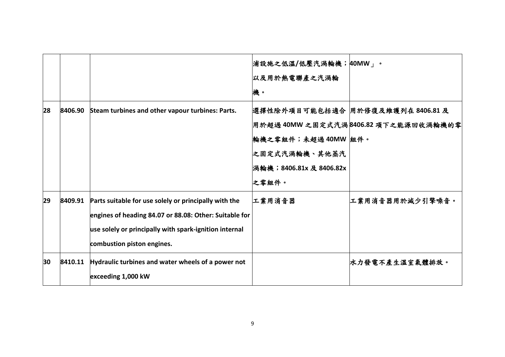|    |         |                                                                                                                                                                                                         | 浦設施之低溫/低壓汽渦輪機; 40MW」。<br>以及用於熱電聯產之汽渦輪<br>機。                             |                                                                           |
|----|---------|---------------------------------------------------------------------------------------------------------------------------------------------------------------------------------------------------------|-------------------------------------------------------------------------|---------------------------------------------------------------------------|
| 28 | 8406.90 | Steam turbines and other vapour turbines: Parts.                                                                                                                                                        | 輪機之零組件;未超過40MW 組件。<br>之固定式汽渦輪機、其他蒸汽<br>渦輪機;8406.81x 及 8406.82x<br>之零組件。 | 選擇性除外項目可能包括適合 用於修復及維護列在 8406.81 及<br>用於超過 40MW 之固定式汽渦8406.82 項下之能源回收渦輪機的零 |
| 29 | 8409.91 | Parts suitable for use solely or principally with the<br>engines of heading 84.07 or 88.08: Other: Suitable for<br>use solely or principally with spark-ignition internal<br>combustion piston engines. | 工業用消音器                                                                  | 工業用消音器用於減少引擎噪音。                                                           |
| 30 | 8410.11 | Hydraulic turbines and water wheels of a power not<br>exceeding 1,000 kW                                                                                                                                |                                                                         | 水力發電不產生溫室氣體排放。                                                            |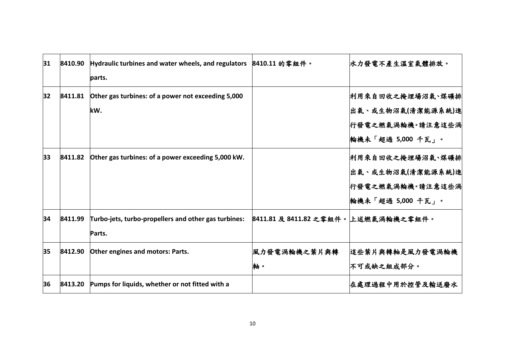| 31 | 8410.90 | Hydraulic turbines and water wheels, and regulators 8410.11 的零組件。<br>parts. |                                     | 水力發電不產生溫室氣體排放。                                                                 |
|----|---------|-----------------------------------------------------------------------------|-------------------------------------|--------------------------------------------------------------------------------|
| 32 | 8411.81 | Other gas turbines: of a power not exceeding 5,000<br>kW.                   |                                     | 利用來自回收之掩埋場沼氣、煤礦排<br>出氣、或生物沼氣(清潔能源系統)進<br>行發電之燃氣渦輪機。請注意這些渦<br>輪機未「超過 5,000 千瓦」。 |
| 33 | 8411.82 | Other gas turbines: of a power exceeding 5,000 kW.                          |                                     | 利用來自回收之掩埋場沼氣、煤礦排<br>出氣、或生物沼氣(清潔能源系統)進<br>行發電之燃氣渦輪機。請注意這些渦<br>輪機未「超過 5,000 千瓦」。 |
| 34 | 8411.99 | Turbo-jets, turbo-propellers and other gas turbines:<br>Parts.              | 8411.81 及 8411.82 之零組件。上述燃氣渦輪機之零組件。 |                                                                                |
| 35 | 8412.90 | Other engines and motors: Parts.                                            | 風力發電渦輪機之葉片與轉<br>軸。                  | 這些葉片與轉軸是風力發電渦輪機<br>不可或缺之組成部分。                                                  |
| 36 | 8413.20 | Pumps for liquids, whether or not fitted with a                             |                                     | 在處理過程中用於控管及輸送廢水                                                                |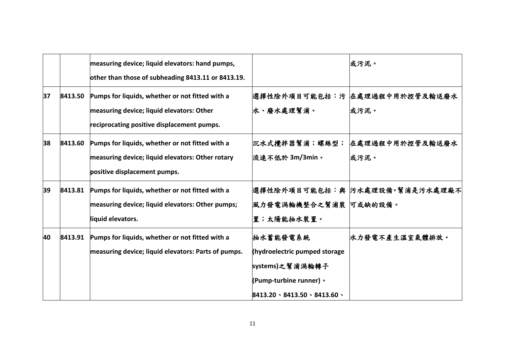|    |         | measuring device; liquid elevators: hand pumps,<br>other than those of subheading 8413.11 or 8413.19.                                      |                                                                                                                                        | 或污泥。                                    |
|----|---------|--------------------------------------------------------------------------------------------------------------------------------------------|----------------------------------------------------------------------------------------------------------------------------------------|-----------------------------------------|
| 37 | 8413.50 | Pumps for liquids, whether or not fitted with a<br>measuring device; liquid elevators: Other<br>reciprocating positive displacement pumps. | 水、廢水處理幫浦。                                                                                                                              | 選擇性除外項目可能包括:污  在處理過程中用於控管及輸送廢水 <br>或污泥。 |
| 38 | 8413.60 | Pumps for liquids, whether or not fitted with a<br>measuring device; liquid elevators: Other rotary<br>positive displacement pumps.        | 沉水式攪拌器幫浦;螺絲型;<br>流速不低於 3m/3min。                                                                                                        | 在處理過程中用於控管及輸送廢水<br> 或污泥。                |
| 39 | 8413.81 | Pumps for liquids, whether or not fitted with a<br>measuring device; liquid elevators: Other pumps;<br>liquid elevators.                   | 風力發電渦輪機整合之幫浦裝 可或缺的設備。<br>置;太陽能抽水裝置。                                                                                                    | 選擇性除外項目可能包括:與   污水處理設備。幫浦是污水處理廠不        |
| 40 | 8413.91 | Pumps for liquids, whether or not fitted with a<br>measuring device; liquid elevators: Parts of pumps.                                     | 抽水蓄能發電系統<br>(hydroelectric pumped storage<br>systems)之幫浦渦輪轉子<br>(Pump-turbine runner) •<br>$8413.20 \cdot 8413.50 \cdot 8413.60 \cdot$ | 水力發電不產生溫室氣體排放。                          |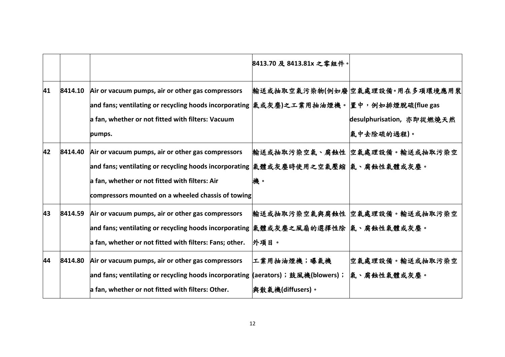|    |         |                                                                                                                                                                                                                                                  | 8413.70 及 8413.81x 之零組件。         |                                                                             |
|----|---------|--------------------------------------------------------------------------------------------------------------------------------------------------------------------------------------------------------------------------------------------------|----------------------------------|-----------------------------------------------------------------------------|
| 41 | 8414.10 | Air or vacuum pumps, air or other gas compressors<br> and fans; ventilating or recycling hoods incorporating  氣或灰塵)之工業用抽油煙機。 置中,例如排煙脫硫(flue gas<br>a fan, whether or not fitted with filters: Vacuum<br>pumps.                                   |                                  | 輸送或抽取空氣污染物(例如廢 空氣處理設備。用在多項環境應用裝<br>desulphurisation, 亦即從燃燒天然<br> 氣中去除硫的過程)。 |
| 42 | 8414.40 | Air or vacuum pumps, air or other gas compressors<br> and fans; ventilating or recycling hoods incorporating  氣體或灰塵時使用之空氣壓縮  氣、腐蝕性氣體或灰塵。<br>a fan, whether or not fitted with filters: Air<br>compressors mounted on a wheeled chassis of towing | 機。                               | 輸送或抽取污染空氣、腐蝕性 空氣處理設備。輸送或抽取污染空                                               |
| 43 | 8414.59 | Air or vacuum pumps, air or other gas compressors<br> and fans; ventilating or recycling hoods incorporating  氣體或灰塵之風扇的選擇性除  氣、腐蝕性氣體或灰塵。<br>a fan, whether or not fitted with filters: Fans; other.                                              | 外項目。                             | 輸送或抽取污染空氣與腐蝕性 空氣處理設備。輸送或抽取污染空                                               |
| 44 | 8414.80 | Air or vacuum pumps, air or other gas compressors<br> and fans; ventilating or recycling hoods incorporating (aerators);鼓風機(blowers);<br>a fan, whether or not fitted with filters: Other.                                                       | 工業用抽油煙機;曝氣機<br> 與散氣機(diffusers)。 | 空氣處理設備。輸送或抽取污染空<br> 氣、腐蝕性氣體或灰塵。                                             |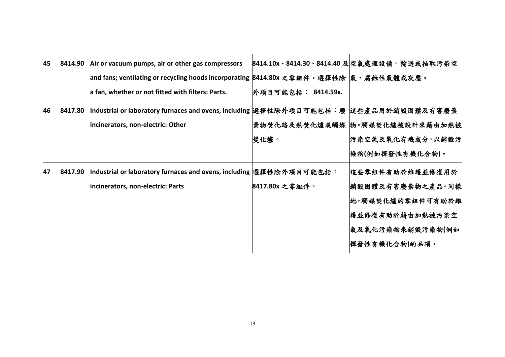| 45 | 8414.90 | Air or vacuum pumps, air or other gas compressors                                      |                    | 8414.10x、8414.30、8414.40 及空氣處理設備。輸送或抽取污染空 |
|----|---------|----------------------------------------------------------------------------------------|--------------------|-------------------------------------------|
|    |         | and fans; ventilating or recycling hoods incorporating 8414.80x 之零組件。選擇性除  氣、腐蝕性氣體或灰塵。 |                    |                                           |
|    |         | a fan, whether or not fitted with filters: Parts.                                      | 外項目可能包括: 8414.59x. |                                           |
| 46 | 8417.80 | Industrial or laboratory furnaces and ovens, including 選擇性除外項目可能包括:廢  這些產品用於銷毀固體及有害廢棄  |                    |                                           |
|    |         | incinerators, non-electric: Other                                                      |                    | 棄物焚化路及熱焚化爐或觸媒  物。觸媒焚化爐被設計來藉由加熱被           |
|    |         |                                                                                        | 焚化爐。               | 污染空氣及氧化有機成分,以銷毀污                          |
|    |         |                                                                                        |                    | 染物(例如揮發性有機化合物)。                           |
| 47 | 8417.90 | Industrial or laboratory furnaces and ovens, including 選擇性除外項目可能包括:                    |                    | 這些零組件有助於維護並修復用於                           |
|    |         | incinerators, non-electric: Parts                                                      | 8417.80x 之零組件。     | <b>銷毀固體及有害廢棄物之產品。同樣</b>                   |
|    |         |                                                                                        |                    | 地,觸媒焚化爐的零組件可有助於維                          |
|    |         |                                                                                        |                    | 護並修復有助於藉由加熱被污染空                           |
|    |         |                                                                                        |                    | 氣及氧化污染物來銷毀污染物(例如                          |
|    |         |                                                                                        |                    | 揮發性有機化合物 的品項。                             |
|    |         |                                                                                        |                    |                                           |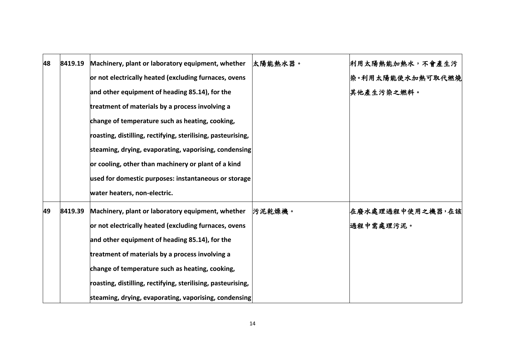| 48 | 8419.19 | Machinery, plant or laboratory equipment, whether            | 太陽能熱水器。 | 利用太陽熱能加熱水,不會產生污  |
|----|---------|--------------------------------------------------------------|---------|------------------|
|    |         | or not electrically heated (excluding furnaces, ovens        |         | 染。利用太陽能使水加熱可取代燃燒 |
|    |         | and other equipment of heading 85.14), for the               |         | 其他產生污染之燃料。       |
|    |         | treatment of materials by a process involving a              |         |                  |
|    |         | change of temperature such as heating, cooking,              |         |                  |
|    |         | roasting, distilling, rectifying, sterilising, pasteurising, |         |                  |
|    |         | steaming, drying, evaporating, vaporising, condensing        |         |                  |
|    |         | or cooling, other than machinery or plant of a kind          |         |                  |
|    |         | used for domestic purposes: instantaneous or storage         |         |                  |
|    |         | water heaters, non-electric.                                 |         |                  |
| 49 | 8419.39 | Machinery, plant or laboratory equipment, whether            | 污泥乾燥機。  | 在廢水處理過程中使用之機器,在該 |
|    |         | or not electrically heated (excluding furnaces, ovens        |         | 過程中需處理污泥。        |
|    |         | and other equipment of heading 85.14), for the               |         |                  |
|    |         | treatment of materials by a process involving a              |         |                  |
|    |         | change of temperature such as heating, cooking,              |         |                  |
|    |         | roasting, distilling, rectifying, sterilising, pasteurising, |         |                  |
|    |         | steaming, drying, evaporating, vaporising, condensing        |         |                  |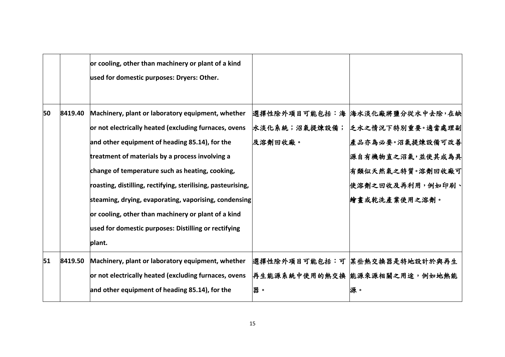|    |         | or cooling, other than machinery or plant of a kind<br>used for domestic purposes: Dryers: Other.                                                                                                                                                                                                                                  |                          |                                                                                                                                      |
|----|---------|------------------------------------------------------------------------------------------------------------------------------------------------------------------------------------------------------------------------------------------------------------------------------------------------------------------------------------|--------------------------|--------------------------------------------------------------------------------------------------------------------------------------|
| 50 | 8419.40 | Machinery, plant or laboratory equipment, whether<br>or not electrically heated (excluding furnaces, ovens<br>and other equipment of heading 85.14), for the<br>treatment of materials by a process involving a<br>change of temperature such as heating, cooking,<br>roasting, distilling, rectifying, sterilising, pasteurising, | 水淡化系統;沼氣提煉設備;<br>及溶劑回收廠。 | 選擇性除外項目可能包括:海 海水淡化廠將鹽分從水中去除,在缺<br> 乏水之情況下特別重要。適當處理副 <br>產品亦為必要。沼氣提煉設備可改善<br>源自有機物直之沼氣,並使其成為具<br>有類似天然氣之特質。溶劑回收廠可<br>使溶劑之回收及再利用,例如印刷、 |
| 51 | 8419.50 | steaming, drying, evaporating, vaporising, condensing<br>or cooling, other than machinery or plant of a kind<br>used for domestic purposes: Distilling or rectifying<br>plant.<br>Machinery, plant or laboratory equipment, whether<br>or not electrically heated (excluding furnaces, ovens                                       |                          | 繪畫或乾洗產業使用之溶劑。<br> 選擇性除外項目可能包括:可  某些熱交換器是特地設計於與再生<br> 再生能源系統中使用的熱交換  能源來源相關之用途,例如地熱能                                                  |
|    |         | and other equipment of heading 85.14), for the                                                                                                                                                                                                                                                                                     | 器。                       | 源。                                                                                                                                   |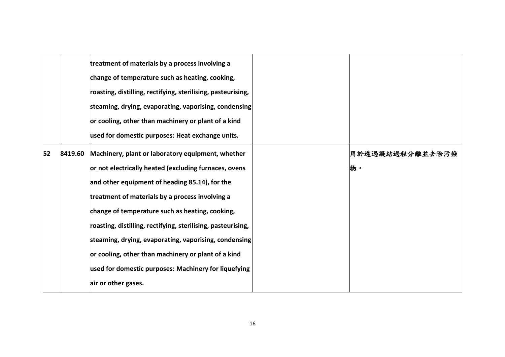|    |         | treatment of materials by a process involving a              |                 |
|----|---------|--------------------------------------------------------------|-----------------|
|    |         | change of temperature such as heating, cooking,              |                 |
|    |         | roasting, distilling, rectifying, sterilising, pasteurising, |                 |
|    |         | steaming, drying, evaporating, vaporising, condensing        |                 |
|    |         | or cooling, other than machinery or plant of a kind          |                 |
|    |         | used for domestic purposes: Heat exchange units.             |                 |
| 52 | 8419.60 | Machinery, plant or laboratory equipment, whether            | 用於透過凝結過程分離並去除污染 |
|    |         | or not electrically heated (excluding furnaces, ovens        | 物。              |
|    |         | and other equipment of heading 85.14), for the               |                 |
|    |         | treatment of materials by a process involving a              |                 |
|    |         | change of temperature such as heating, cooking,              |                 |
|    |         | roasting, distilling, rectifying, sterilising, pasteurising, |                 |
|    |         | steaming, drying, evaporating, vaporising, condensing        |                 |
|    |         | or cooling, other than machinery or plant of a kind          |                 |
|    |         | used for domestic purposes: Machinery for liquefying         |                 |
|    |         | air or other gases.                                          |                 |
|    |         |                                                              |                 |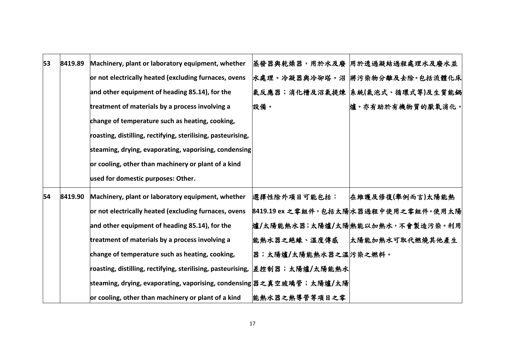| 53 | 8419.89 | Machinery, plant or laboratory equipment, whether                            |                       | 蒸發器與乾燥器,用於水及廢  用於透過凝結過程處理水及廢水並        |
|----|---------|------------------------------------------------------------------------------|-----------------------|---------------------------------------|
|    |         | or not electrically heated (excluding furnaces, ovens                        |                       | 水處理。冷凝器與冷卻塔。沼 將污染物分離及去除。包括流體化床        |
|    |         | and other equipment of heading 85.14), for the                               |                       | 氣反應器;消化槽及沼氣提煉  系統(氣泡式、循環式等)及生質能鍋      |
|    |         | treatment of materials by a process involving a                              | 設備。                   | 爐。亦有助於有機物質的厭氧消化。                      |
|    |         | change of temperature such as heating, cooking,                              |                       |                                       |
|    |         | roasting, distilling, rectifying, sterilising, pasteurising,                 |                       |                                       |
|    |         | steaming, drying, evaporating, vaporising, condensing                        |                       |                                       |
|    |         | or cooling, other than machinery or plant of a kind                          |                       |                                       |
|    |         | used for domestic purposes: Other.                                           |                       |                                       |
| 54 | 8419.90 | Machinery, plant or laboratory equipment, whether                            | 選擇性除外項目可能包括:          | 在維護及修復(舉例而言)太陽能熱                      |
|    |         | or not electrically heated (excluding furnaces, ovens                        |                       | 8419.19 ex 之零組件, 包括太陽水器過程中使用之零組件。使用太陽 |
|    |         | and other equipment of heading 85.14), for the                               |                       | 爐/太陽能熱水器;太陽爐/太陽熱能以加熱水,不會製造污染。利用       |
|    |         | treatment of materials by a process involving a                              | 能熱水器之絕緣、溫度傳感          | 太陽能加熱水可取代燃燒其他產生                       |
|    |         | change of temperature such as heating, cooking,                              | 器;太陽爐/太陽能熱水器之溫 污染之燃料。 |                                       |
|    |         | roasting, distilling, rectifying, sterilising, pasteurising,  差控制器;太陽爐/太陽能熱水 |                       |                                       |
|    |         | steaming, drying, evaporating, vaporising, condensing 器之真空玻璃管;太陽爐/太陽         |                       |                                       |
|    |         | or cooling, other than machinery or plant of a kind                          | 能熱水器之熱導管等項目之零         |                                       |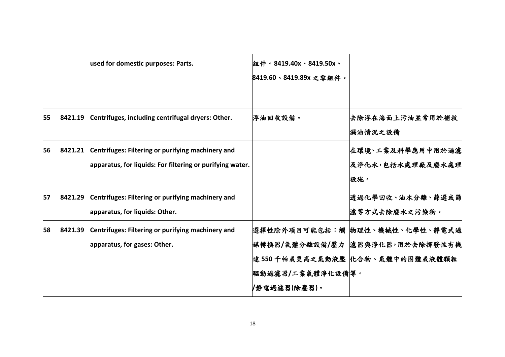|         | used for domestic purposes: Parts.                                                  | 組件。8419.40x、8419.50x、<br>8419.60、8419.89x 之零組件。 |                                                                                                           |
|---------|-------------------------------------------------------------------------------------|-------------------------------------------------|-----------------------------------------------------------------------------------------------------------|
| 8421.19 | Centrifuges, including centrifugal dryers: Other.                                   | 浮油回收設備。                                         | 去除浮在海面上污油並常用於補救<br>漏油情況之設備                                                                                |
| 8421.21 | Centrifuges: Filtering or purifying machinery and                                   |                                                 | 在環境、工業及科學應用中用於過濾<br>及淨化水,包括水處理廠及廢水處理<br>設施。                                                               |
| 8421.29 | Centrifuges: Filtering or purifying machinery and<br>apparatus, for liquids: Other. |                                                 | 透過化學回收、油水分離、篩選或篩<br>濾等方式去除廢水之污染物。                                                                         |
| 8421.39 | Centrifuges: Filtering or purifying machinery and<br>apparatus, for gases: Other.   | 驅動過濾器/工業氣體淨化設備 等。<br>/静電過濾器(除塵器)。               | 選擇性除外項目可能包括:觸  物理性、機械性、化學性、靜電式過<br> 媒轉換器/氣體分離設備/壓力  濾器與淨化器,用於去除揮發性有機<br>達 550 千帕或更高之氣動液壓  化合物、氣體中的固體或液體顆粒 |
|         |                                                                                     |                                                 | apparatus, for liquids: For filtering or purifying water.                                                 |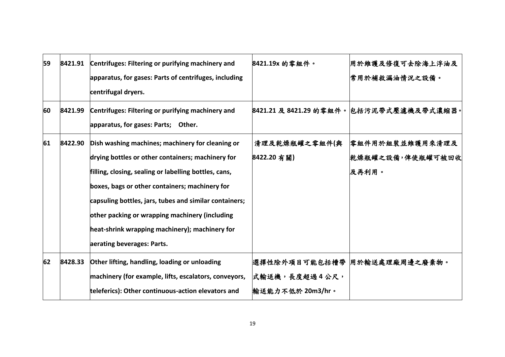| 59 | 8421.91 | Centrifuges: Filtering or purifying machinery and<br>apparatus, for gases: Parts of centrifuges, including<br>centrifugal dryers.                                                                                                                                                                                                                                                                            | 8421.19x 的零組件。                    | 用於維護及修復可去除海上浮油及<br>常用於補救漏油情況之設備。             |
|----|---------|--------------------------------------------------------------------------------------------------------------------------------------------------------------------------------------------------------------------------------------------------------------------------------------------------------------------------------------------------------------------------------------------------------------|-----------------------------------|----------------------------------------------|
| 60 | 8421.99 | Centrifuges: Filtering or purifying machinery and<br>apparatus, for gases: Parts; Other.                                                                                                                                                                                                                                                                                                                     |                                   | 8421.21 及 8421.29 的零組件。包括污泥帶式壓濾機及帶式濃縮器。      |
| 61 | 8422.90 | Dish washing machines; machinery for cleaning or<br>drying bottles or other containers; machinery for<br>filling, closing, sealing or labelling bottles, cans,<br>boxes, bags or other containers; machinery for<br>capsuling bottles, jars, tubes and similar containers;<br>other packing or wrapping machinery (including<br>heat-shrink wrapping machinery); machinery for<br>aerating beverages: Parts. | 清理及乾燥瓶罐之零組件(與<br>8422.20 有關)      | 零組件用於組裝並維護用來清理及<br>乾燥瓶罐之設備,俾使瓶罐可被回收<br>及再利用。 |
| 62 | 8428.33 | Other lifting, handling, loading or unloading<br>machinery (for example, lifts, escalators, conveyors,<br>teleferics): Other continuous-action elevators and                                                                                                                                                                                                                                                 | 式輸送機,長度超過4公尺,<br>輸送能力不低於 20m3/hr。 | 選擇性除外項目可能包括槽帶  用於輸送處理廠周邊之廢棄物。                |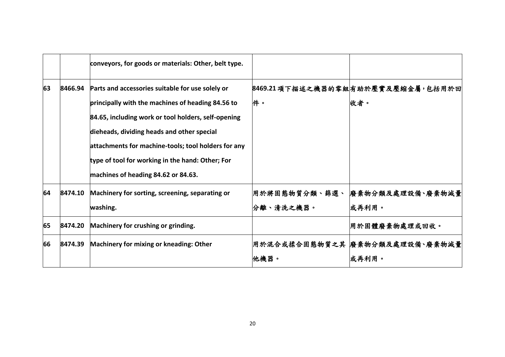|    |         | conveyors, for goods or materials: Other, belt type. |               |                                    |
|----|---------|------------------------------------------------------|---------------|------------------------------------|
| 63 | 8466.94 | Parts and accessories suitable for use solely or     |               | 8469.21 項下描述之機器的零組有助於壓實及壓縮金屬,包括用於回 |
|    |         | principally with the machines of heading 84.56 to    | 件。            | 收者。                                |
|    |         | 84.65, including work or tool holders, self-opening  |               |                                    |
|    |         | dieheads, dividing heads and other special           |               |                                    |
|    |         | attachments for machine-tools; tool holders for any  |               |                                    |
|    |         | type of tool for working in the hand: Other; For     |               |                                    |
|    |         | machines of heading 84.62 or 84.63.                  |               |                                    |
| 64 | 8474.10 | Machinery for sorting, screening, separating or      | 用於將固態物質分類、篩選、 | 廢棄物分類及處理設備、廢棄物減量                   |
|    |         | washing.                                             | 分離、清洗之機器。     | 或再利用。                              |
| 65 | 8474.20 | Machinery for crushing or grinding.                  |               | 用於固體廢棄物處理或回收。                      |
| 66 | 8474.39 | Machinery for mixing or kneading: Other              |               | 用於混合或揉合固態物質之其 廢棄物分類及處理設備、廢棄物減量     |
|    |         |                                                      | 他機器。          | 或再利用。                              |
|    |         |                                                      |               |                                    |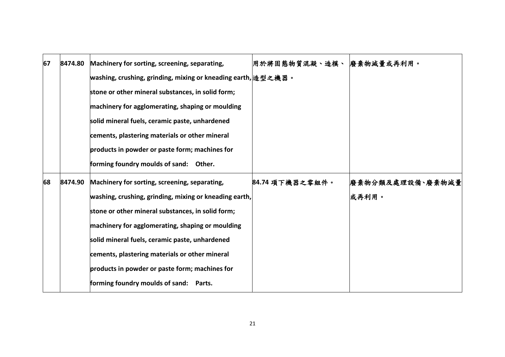| 67 | 8474.80 | Machinery for sorting, screening, separating,                 | 用於將固態物質混凝、造模、 廢棄物減量或再利用。 |                  |
|----|---------|---------------------------------------------------------------|--------------------------|------------------|
|    |         |                                                               |                          |                  |
|    |         | washing, crushing, grinding, mixing or kneading earth, 造型之機器。 |                          |                  |
|    |         | stone or other mineral substances, in solid form;             |                          |                  |
|    |         | machinery for agglomerating, shaping or moulding              |                          |                  |
|    |         | solid mineral fuels, ceramic paste, unhardened                |                          |                  |
|    |         | cements, plastering materials or other mineral                |                          |                  |
|    |         | products in powder or paste form; machines for                |                          |                  |
|    |         | forming foundry moulds of sand: Other.                        |                          |                  |
| 68 | 8474.90 | Machinery for sorting, screening, separating,                 | 84.74 項下機器之零組件。          | 廢棄物分類及處理設備、廢棄物減量 |
|    |         | washing, crushing, grinding, mixing or kneading earth,        |                          | 或再利用。            |
|    |         | stone or other mineral substances, in solid form;             |                          |                  |
|    |         | machinery for agglomerating, shaping or moulding              |                          |                  |
|    |         | solid mineral fuels, ceramic paste, unhardened                |                          |                  |
|    |         | cements, plastering materials or other mineral                |                          |                  |
|    |         | products in powder or paste form; machines for                |                          |                  |
|    |         | forming foundry moulds of sand: Parts.                        |                          |                  |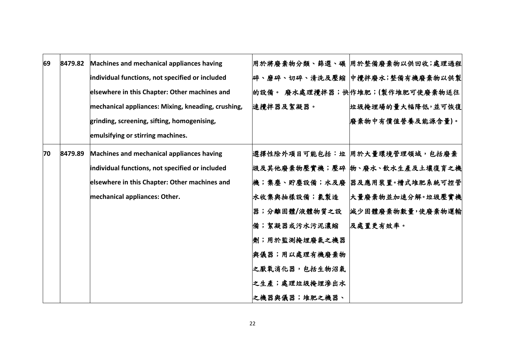| 69 | 8479.82 | Machines and mechanical appliances having          |               | 用於將廢棄物分類、篩選、碾  用於整備廢棄物以供回收;處理過程 |
|----|---------|----------------------------------------------------|---------------|---------------------------------|
|    |         | individual functions, not specified or included    |               | 碎、磨碎、切碎、清洗及壓縮  中攪拌廢水;整備有機廢棄物以供製 |
|    |         | elsewhere in this Chapter: Other machines and      |               | 的設備。 廢水處理攪拌器;快作堆肥;(製作堆肥可使廢棄物送往  |
|    |         | mechanical appliances: Mixing, kneading, crushing, | 速攪拌器及絮凝器。     | 垃圾掩埋場的量大幅降低,並可恢復                |
|    |         | grinding, screening, sifting, homogenising,        |               | 廢棄物中有價值營養及能源含量)。                |
|    |         | emulsifying or stirring machines.                  |               |                                 |
| 70 | 8479.89 | Machines and mechanical appliances having          |               | 選擇性除外項目可能包括:垃 用於大量環境管理領域,包括廢棄   |
|    |         | individual functions, not specified or included    |               | 圾及其他廢棄物壓實機;壓碎  物、廢水、飲水生產及土壤復育之機 |
|    |         | elsewhere in this Chapter: Other machines and      |               | 機;集塵、貯塵設備;水及廢  器及應用裝置。槽式堆肥系統可控管 |
|    |         | mechanical appliances: Other.                      | 水收集與抽樣設備;氯製造  | 大量廢棄物並加速分解。垃圾壓實機                |
|    |         |                                                    | 器;分離固體/液體物質之設 | 減少固體廢棄物數量,使廢棄物運輸                |
|    |         |                                                    | 備;絮凝器或污水污泥濃縮  | 及處置更有效率。                        |
|    |         |                                                    | 劑;用於監測掩埋廢氣之機器 |                                 |
|    |         |                                                    | 奥儀器;用以處理有機廢棄物 |                                 |
|    |         |                                                    | 之厭氧消化器,包括生物沼氣 |                                 |
|    |         |                                                    | 之生產;處理垃圾掩埋滲出水 |                                 |
|    |         |                                                    | 之機器與儀器;堆肥之機器、 |                                 |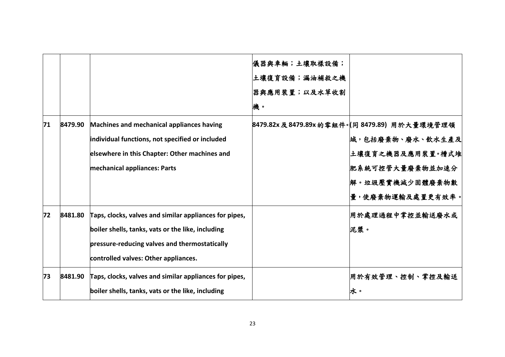|    |         |                                                        | 儀器與車輛;土壤取樣設備; |                                              |
|----|---------|--------------------------------------------------------|---------------|----------------------------------------------|
|    |         |                                                        | 土壤復育設備;漏油補救之機 |                                              |
|    |         |                                                        | 器與應用裝置;以及水草收割 |                                              |
|    |         |                                                        | 機。            |                                              |
| 71 | 8479.90 | Machines and mechanical appliances having              |               | 8479.82x及8479.89x的零組件。  同 8479.89  用於大量環境管理領 |
|    |         | individual functions, not specified or included        |               | 域,包括廢棄物、廢水、飲水生產及                             |
|    |         | elsewhere in this Chapter: Other machines and          |               | 土壤復育之機器及應用裝置。槽式堆                             |
|    |         | mechanical appliances: Parts                           |               | 肥系統可控管大量廢棄物並加速分                              |
|    |         |                                                        |               | 解。垃圾壓實機減少固體廢棄物數                              |
|    |         |                                                        |               | 量,使廢棄物運輸及處置更有效率。                             |
| 72 | 8481.80 | Taps, clocks, valves and similar appliances for pipes, |               | 用於處理過程中掌控並輸送廢水或                              |
|    |         | boiler shells, tanks, vats or the like, including      |               | 泥漿。                                          |
|    |         | pressure-reducing valves and thermostatically          |               |                                              |
|    |         | controlled valves: Other appliances.                   |               |                                              |
| 73 | 8481.90 | Taps, clocks, valves and similar appliances for pipes, |               | 用於有效管理、控制、掌控及輸送                              |
|    |         | boiler shells, tanks, vats or the like, including      |               | 水。                                           |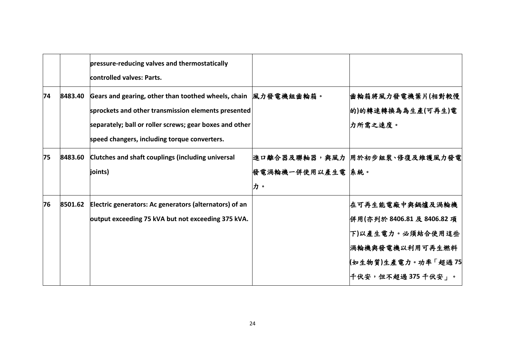|    |         | pressure-reducing valves and thermostatically<br>controlled valves: Parts.                                                                                                                                                        |                          |                                                                                                                                        |
|----|---------|-----------------------------------------------------------------------------------------------------------------------------------------------------------------------------------------------------------------------------------|--------------------------|----------------------------------------------------------------------------------------------------------------------------------------|
| 74 | 8483.40 | Gears and gearing, other than toothed wheels, chain  風力發電機組齒輪箱。<br>sprockets and other transmission elements presented<br>separately; ball or roller screws; gear boxes and other<br>speed changers, including torque converters. |                          | 齒輪箱將風力發電機葉片(相對較慢<br> 的)的轉速轉換為為生產(可再生)電<br><b> 力所需之速度。</b>                                                                              |
| 75 | 8483.60 | Clutches and shaft couplings (including universal<br>joints)                                                                                                                                                                      | 發電渦輪機一併使用以產生電  系統。<br>力。 | 進口離合器及聯軸器,與風力  用於初步組裝、修復及維護風力發電                                                                                                        |
| 76 | 8501.62 | Electric generators: Ac generators (alternators) of an<br>output exceeding 75 kVA but not exceeding 375 kVA.                                                                                                                      |                          | <b> 在可再生能電廠中與鍋爐及渦輪機</b><br>併用(亦列於 8406.81 及 8406.82 項<br>下)以產生電力。必須結合使用這些<br>渦輪機與發電機以利用可再生燃料<br>(如生物質)生產電力。功率「超過75<br>千伏安,但不超過375千伏安」。 |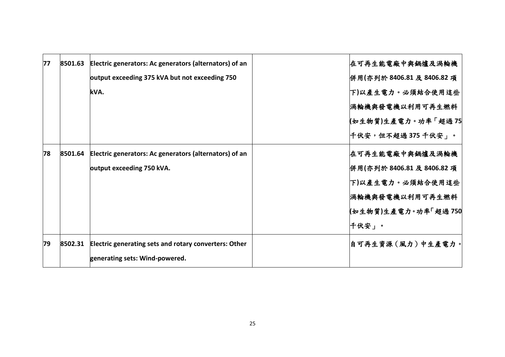| 77 | 8501.63 | Electric generators: Ac generators (alternators) of an | <b> 在可再生能電廠中與鍋爐及渦輪機</b>    |
|----|---------|--------------------------------------------------------|----------------------------|
|    |         | output exceeding 375 kVA but not exceeding 750         | 併用(亦列於 8406.81 及 8406.82 項 |
|    |         | kVA.                                                   | 下)以產生電力。必須結合使用這些           |
|    |         |                                                        | 渦輪機與發電機以利用可再生燃料            |
|    |         |                                                        | (如生物質)生產電力。功率「超過 75        |
|    |         |                                                        | 千伏安,但不超過 375 千伏安」。         |
| 78 | 8501.64 | Electric generators: Ac generators (alternators) of an | <b> 在可再生能電廠中與鍋爐及渦輪機</b>    |
|    |         | output exceeding 750 kVA.                              | 併用(亦列於 8406.81 及 8406.82 項 |
|    |         |                                                        | 下)以產生電力。必須結合使用這些           |
|    |         |                                                        | 渦輪機與發電機以利用可再生燃料            |
|    |         |                                                        | (如生物質)生產電力。功率「超過 750       |
|    |         |                                                        | ├千伏安」。                     |
| 79 | 8502.31 | Electric generating sets and rotary converters: Other  | 自可再生資源(風力)中生產電力。           |
|    |         | generating sets: Wind-powered.                         |                            |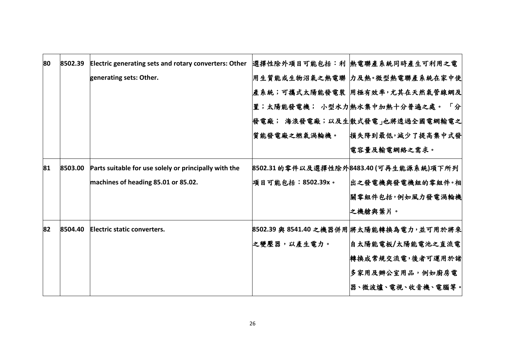| 80 | 8502.39 | Electric generating sets and rotary converters: Other |                     | 選擇性除外項目可能包括:利   熱電聯產系統同時產生可利用之電          |
|----|---------|-------------------------------------------------------|---------------------|------------------------------------------|
|    |         | generating sets: Other.                               |                     | 用生質能或生物沼氣之熱電聯  力及熱。微型熱電聯產系統在家中使          |
|    |         |                                                       |                     | 產系統;可攜式太陽能發電裝  用極有效率,尤其在天然氣管線網及          |
|    |         |                                                       |                     | 置;太陽能發電機; 小型水力 熱水集中加熱十分普遍之處。 「分          |
|    |         |                                                       |                     | 發電廠; 海浪發電廠;以及生  散式發電」也將透過全國電網輸電之         |
|    |         |                                                       | 質能發電廠之燃氣渦輪機。        | 損失降到最低,減少了提高集中式發                         |
|    |         |                                                       |                     | 電容量及輸電網絡之需求。                             |
| 81 | 8503.00 | Parts suitable for use solely or principally with the |                     | 8502.31 的零件以及選擇性除外8483.40 (可再生能源系統)項下所列  |
|    |         | machines of heading 85.01 or 85.02.                   | 項目可能包括: 8502.39x。   | 出之發電機與發電機組的零組件·相                         |
|    |         |                                                       |                     | 關零組件包括,例如風力發電渦輪機                         |
|    |         |                                                       |                     | 之機艙與葉片。                                  |
| 82 | 8504.40 | Electric static converters.                           |                     | 8502.39 與 8541.40 之機器併用 將太陽能轉換為電力,並可用於將來 |
|    |         |                                                       | <b> 之變壓器,以產生電力。</b> | 自太陽能電板/太陽能電池之直流電                         |
|    |         |                                                       |                     | 轉換成常規交流電,後者可運用於諸                         |
|    |         |                                                       |                     | 多家用及辦公室用品,例如廚房電                          |
|    |         |                                                       |                     | 器、微波爐、電視、收音機、電腦等。                        |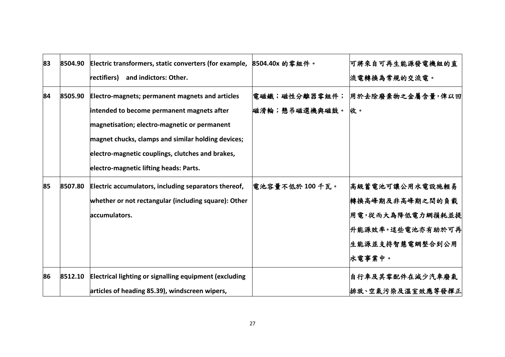| 83 | 8504.90 | Electric transformers, static converters (for example, 8504.40x 的零組件。 |                 | 可將來自可再生能源發電機組的直          |
|----|---------|-----------------------------------------------------------------------|-----------------|--------------------------|
|    |         | and indictors: Other.<br>rectifiers)                                  |                 | 流電轉換為常規的交流電。             |
| 84 | 8505.90 | Electro-magnets; permanent magnets and articles                       | 電磁鐵;磁性分離器零組件;   | 用於去除廢棄物之金屬含量,俾以回         |
|    |         | intended to become permanent magnets after                            | 磁滑輪;懸吊磁選機與磁鼓。   | 收。                       |
|    |         | magnetisation; electro-magnetic or permanent                          |                 |                          |
|    |         | magnet chucks, clamps and similar holding devices;                    |                 |                          |
|    |         | electro-magnetic couplings, clutches and brakes,                      |                 |                          |
|    |         | electro-magnetic lifting heads: Parts.                                |                 |                          |
| 85 | 8507.80 | Electric accumulators, including separators thereof,                  | 電池容量不低於 100 千瓦。 | 高級蓄電池可讓公用水電設施輕易          |
|    |         | whether or not rectangular (including square): Other                  |                 | 轉換高峰期及非高峰期之間的負載          |
|    |         | accumulators.                                                         |                 | 用電,從而大為降低電力網損耗並提         |
|    |         |                                                                       |                 | <b> 升能源效率。這些電池亦有助於可再</b> |
|    |         |                                                                       |                 | 生能源並支持智慧電網整合到公用          |
|    |         |                                                                       |                 | 水電事業中。                   |
| 86 | 8512.10 | Electrical lighting or signalling equipment (excluding                |                 | 自行車及其零配件在減少汽車廢氣          |
|    |         | articles of heading 85.39), windscreen wipers,                        |                 | 排放、空氣污染及溫室效應等發揮正         |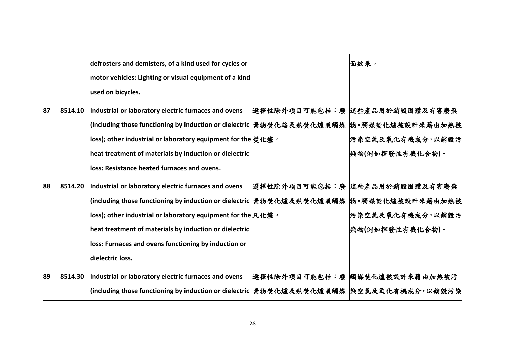|    |         | defrosters and demisters, of a kind used for cycles or<br>motor vehicles: Lighting or visual equipment of a kind<br>used on bicycles.                                                                                                                                                                                                                                                                                  | 面效果。                                                                   |
|----|---------|------------------------------------------------------------------------------------------------------------------------------------------------------------------------------------------------------------------------------------------------------------------------------------------------------------------------------------------------------------------------------------------------------------------------|------------------------------------------------------------------------|
| 87 | 8514.10 | Industrial or laboratory electric furnaces and ovens<br> (including those functioning by induction or dielectric  棄物焚化路及熱焚化爐或觸媒  物。觸媒焚化爐被設計來藉由加熱被<br> loss); other industrial or laboratory equipment for the $ \! \:\!\bigtriangledown \hspace*{-0.3mm} \bigstar \hspace*{-0.3mm} \bigstar \,$ $\! \cdot \,$<br>heat treatment of materials by induction or dielectric<br>loss: Resistance heated furnaces and ovens. | 選擇性除外項目可能包括:廢  這些產品用於銷毀固體及有害廢棄<br>污染空氣及氧化有機成分,以銷毀污<br> 染物(例如揮發性有機化合物)。 |
| 88 | 8514.20 | Industrial or laboratory electric furnaces and ovens<br> (including those functioning by induction or dielectric  棄物焚化爐及熱焚化爐或觸媒  物。觸媒焚化爐被設計來藉由加熱被<br>loss); other industrial or laboratory equipment for the $\mathcal{R}\text{·}$ 爐 。<br>heat treatment of materials by induction or dielectric<br>loss: Furnaces and ovens functioning by induction or<br>dielectric loss.                                           | 選擇性除外項目可能包括:廢 這些產品用於銷毀固體及有害廢棄<br>污染空氣及氧化有機成分,以銷毀污<br> 染物(例如揮發性有機化合物)。  |
| 89 | 8514.30 | Industrial or laboratory electric furnaces and ovens<br> (including those functioning by induction or dielectric  棄物焚化爐及熱焚化爐或觸媒  染空氣及氧化有機成分,以銷毀污染                                                                                                                                                                                                                                                                      | 選擇性除外項目可能包括:廢 觸媒焚化爐被設計來藉由加熱被污                                          |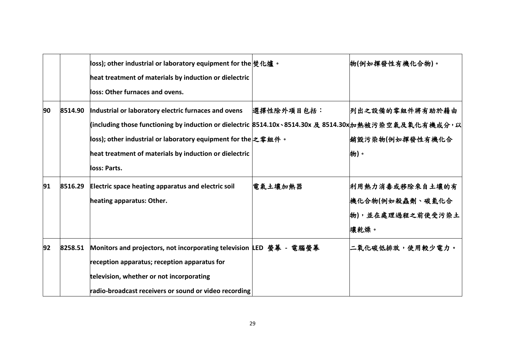|    |         | loss); other industrial or laboratory equipment for the $ \text{\#} \text{\#} \text{\#} \cdot \text{\#}$ $\cdot$<br>heat treatment of materials by induction or dielectric<br>loss: Other furnaces and ovens.                                                                                            |            | 物(例如揮發性有機化合物)。                                                 |
|----|---------|----------------------------------------------------------------------------------------------------------------------------------------------------------------------------------------------------------------------------------------------------------------------------------------------------------|------------|----------------------------------------------------------------|
| 90 | 8514.90 | Industrial or laboratory electric furnaces and ovens<br>(including those functioning by induction or dielectric 8514.10x、8514.30x 及 8514.30x协熱被污染空氣及氧化有機成分,以<br> loss); other industrial or laboratory equipment for the 之零組件。<br>heat treatment of materials by induction or dielectric<br>loss: Parts. | 選擇性除外項目包括: | 列出之設備的零組件將有助於藉由<br>銷毀污染物(例如揮發性有機化合<br>物)。                      |
| 91 | 8516.29 | Electric space heating apparatus and electric soil<br>heating apparatus: Other.                                                                                                                                                                                                                          | 電氣土壤加熱器    | 利用熱力消毒或移除來自土壤的有<br>機化合物(例如殺蟲劑、碳氫化合<br>物),並在處理過程之前使受污染土<br>壤乾燥。 |
| 92 | 8258.51 | Monitors and projectors, not incorporating television LED 螢幕 - 電腦螢幕<br>reception apparatus; reception apparatus for<br>television, whether or not incorporating<br>radio-broadcast receivers or sound or video recording                                                                                 |            | 二氧化碳低排放,使用較少電力。                                                |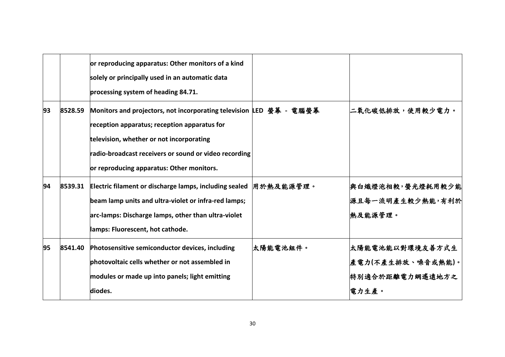|    |         | or reproducing apparatus: Other monitors of a kind<br>solely or principally used in an automatic data<br>processing system of heading 84.71.                                                                                                                          |          |                                                                   |
|----|---------|-----------------------------------------------------------------------------------------------------------------------------------------------------------------------------------------------------------------------------------------------------------------------|----------|-------------------------------------------------------------------|
| 93 | 8528.59 | Monitors and projectors, not incorporating television LED 螢幕 - 電腦螢幕<br>reception apparatus; reception apparatus for<br>television, whether or not incorporating<br>radio-broadcast receivers or sound or video recording<br>or reproducing apparatus: Other monitors. |          | 二氧化碳低排放,使用較少電力。                                                   |
| 94 | 8539.31 | Electric filament or discharge lamps, including sealed  用於熱及能源管理。<br>beam lamp units and ultra-violet or infra-red lamps;<br>arc-lamps: Discharge lamps, other than ultra-violet<br>lamps: Fluorescent, hot cathode.                                                  |          | 與白熾燈泡相較,螢光燈耗用較少能<br>源且每一流明產生較少熱能,有利於<br>熱及能源管理。                   |
| 95 | 8541.40 | Photosensitive semiconductor devices, including<br>photovoltaic cells whether or not assembled in<br>modules or made up into panels; light emitting<br>diodes.                                                                                                        | 太陽能電池組件。 | 太陽能電池能以對環境友善方式生<br> 產電力(不產生排放、噪音或熱能)。<br>特別適合於距離電力網遙遠地方之<br>電力生產。 |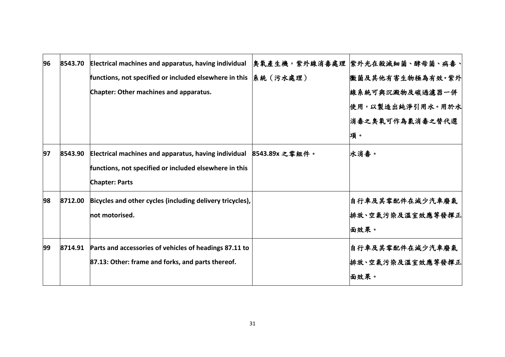| 96 | 8543.70 | Electrical machines and apparatus, having individual      |                | 臭氧產生機,紫外線消毒處理  紫外光在殺滅細菌、酵母菌、病毒、 |
|----|---------|-----------------------------------------------------------|----------------|---------------------------------|
|    |         | functions, not specified or included elsewhere in this    | 系統(污水處理)       | 微菌及其他有害生物極為有效。紫外                |
|    |         | Chapter: Other machines and apparatus.                    |                | 線系統可與沉澱物及碳過濾器一併                 |
|    |         |                                                           |                | 使用,以製造出純淨引用水。用於水                |
|    |         |                                                           |                | 消毒之臭氧可作為氯消毒之替代選                 |
|    |         |                                                           |                | 項。                              |
| 97 | 8543.90 | Electrical machines and apparatus, having individual      | 8543.89x 之零組件。 | 水消毒。                            |
|    |         | functions, not specified or included elsewhere in this    |                |                                 |
|    |         | <b>Chapter: Parts</b>                                     |                |                                 |
| 98 | 8712.00 | Bicycles and other cycles (including delivery tricycles), |                | 自行車及其零配件在減少汽車廢氣                 |
|    |         | not motorised.                                            |                | 排放、空氣污染及溫室效應等發揮正                |
|    |         |                                                           |                | 面效果。                            |
| 99 | 8714.91 | Parts and accessories of vehicles of headings 87.11 to    |                | 自行車及其零配件在減少汽車廢氣                 |
|    |         | 87.13: Other: frame and forks, and parts thereof.         |                | 排放、空氣污染及溫室效應等發揮正                |
|    |         |                                                           |                | 面效果。                            |
|    |         |                                                           |                |                                 |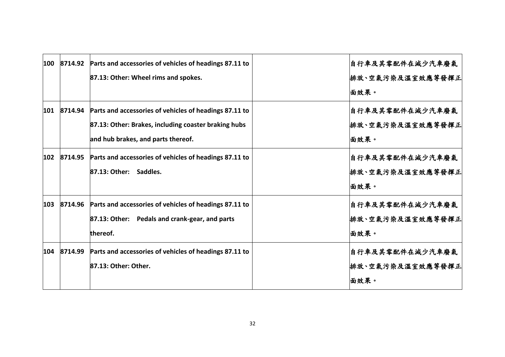| 100 |         | 8714.92 Parts and accessories of vehicles of headings 87.11 to | 自行車及其零配件在減少汽車廢氣  |
|-----|---------|----------------------------------------------------------------|------------------|
|     |         | 87.13: Other: Wheel rims and spokes.                           | 排放、空氣污染及溫室效應等發揮正 |
|     |         |                                                                | 面效果。             |
| 101 |         | 8714.94 Parts and accessories of vehicles of headings 87.11 to | 自行車及其零配件在減少汽車廢氣  |
|     |         | 87.13: Other: Brakes, including coaster braking hubs           | 排放、空氣污染及溫室效應等發揮正 |
|     |         | and hub brakes, and parts thereof.                             | 面效果。             |
| 102 |         | 8714.95 Parts and accessories of vehicles of headings 87.11 to | 自行車及其零配件在減少汽車廢氣  |
|     |         | 87.13: Other: Saddles.                                         | 排放、空氣污染及溫室效應等發揮正 |
|     |         |                                                                | 面效果。             |
| 103 | 8714.96 | Parts and accessories of vehicles of headings 87.11 to         | 自行車及其零配件在減少汽車廢氣  |
|     |         | 87.13: Other: Pedals and crank-gear, and parts                 | 排放、空氣污染及溫室效應等發揮正 |
|     |         | thereof.                                                       | 面效果。             |
| 104 | 8714.99 | Parts and accessories of vehicles of headings 87.11 to         | 自行車及其零配件在減少汽車廢氣  |
|     |         | 87.13: Other: Other.                                           | 排放、空氣污染及溫室效應等發揮正 |
|     |         |                                                                | 面效果。             |
|     |         |                                                                |                  |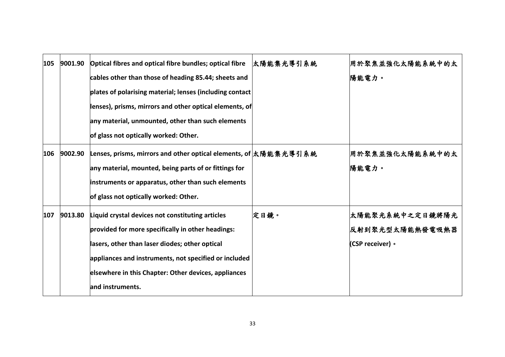| 105 | 9001.90 | Optical fibres and optical fibre bundles; optical fibre          | 太陽能集光導引系統 | 用於聚焦並強化太陽能系統中的太  |
|-----|---------|------------------------------------------------------------------|-----------|------------------|
|     |         | cables other than those of heading 85.44; sheets and             |           | 陽能電力。            |
|     |         | plates of polarising material; lenses (including contact         |           |                  |
|     |         | lenses), prisms, mirrors and other optical elements, of          |           |                  |
|     |         | any material, unmounted, other than such elements                |           |                  |
|     |         | of glass not optically worked: Other.                            |           |                  |
| 106 | 9002.90 | Lenses, prisms, mirrors and other optical elements, of 太陽能集光導引系統 |           | 用於聚焦並強化太陽能系統中的太  |
|     |         | any material, mounted, being parts of or fittings for            |           | 陽能電力。            |
|     |         | instruments or apparatus, other than such elements               |           |                  |
|     |         | of glass not optically worked: Other.                            |           |                  |
| 107 | 9013.80 | Liquid crystal devices not constituting articles                 | 定日鏡。      | 太陽能聚光系統中之定日鏡將陽光  |
|     |         | provided for more specifically in other headings:                |           | 反射到聚光型太陽能熱發電吸熱器  |
|     |         | lasers, other than laser diodes; other optical                   |           | (CSP receiver) 。 |
|     |         | appliances and instruments, not specified or included            |           |                  |
|     |         | elsewhere in this Chapter: Other devices, appliances             |           |                  |
|     |         | and instruments.                                                 |           |                  |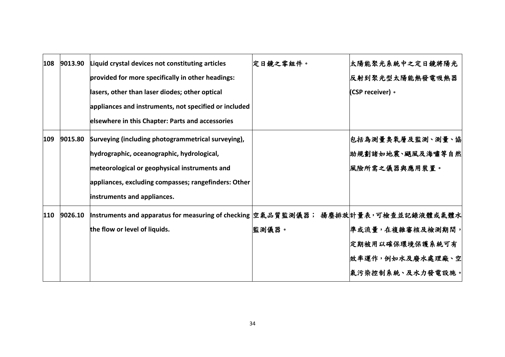| 108 | 9013.90 | Liquid crystal devices not constituting articles                                     | 定日鏡之零組件。 | 太陽能聚光系統中之定日鏡將陽光  |
|-----|---------|--------------------------------------------------------------------------------------|----------|------------------|
|     |         | provided for more specifically in other headings:                                    |          | 反射到聚光型太陽能熱發電吸熱器  |
|     |         | lasers, other than laser diodes; other optical                                       |          | (CSP receiver) · |
|     |         | appliances and instruments, not specified or included                                |          |                  |
|     |         | elsewhere in this Chapter: Parts and accessories                                     |          |                  |
| 109 | 9015.80 | Surveying (including photogrammetrical surveying),                                   |          | 包括為測量臭氧層及監測、測量、協 |
|     |         | hydrographic, oceanographic, hydrological,                                           |          | 助規劃諸如地震、颶風及海嘯等自然 |
|     |         | meteorological or geophysical instruments and                                        |          | 風險所需之儀器與應用裝置。    |
|     |         | appliances, excluding compasses; rangefinders: Other                                 |          |                  |
|     |         | instruments and appliances.                                                          |          |                  |
| 110 | 9026.10 | Instruments and apparatus for measuring of checking  空氣品質監測儀器; 揚塵排放 計量表,可檢查並記錄液體或氣體水 |          |                  |
|     |         | the flow or level of liquids.                                                        | 監測儀器。    | 準或流量,在複雜審核及檢測期間, |
|     |         |                                                                                      |          | 定期被用以確保環境保護系統可有  |
|     |         |                                                                                      |          | 效率運作,例如水及廢水處理廠、空 |
|     |         |                                                                                      |          | 氣污染控制系統、及水力發電設施。 |
|     |         |                                                                                      |          |                  |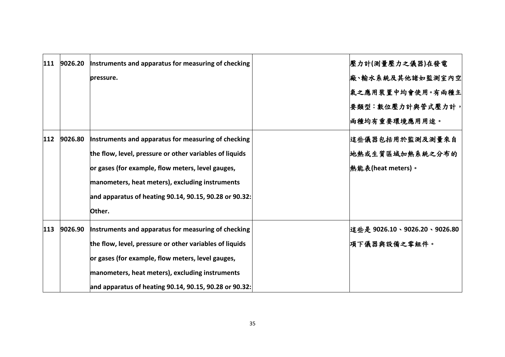| 111 | 9026.20 | Instruments and apparatus for measuring of checking     | 壓力計(測量壓力之儀器)在發電             |
|-----|---------|---------------------------------------------------------|-----------------------------|
|     |         | pressure.                                               | 廠、輸水系統及其他諸如監測室內空            |
|     |         |                                                         | 氣之應用裝置中均會使用。有兩種主            |
|     |         |                                                         | 要類型:數位壓力計與管式壓力計,            |
|     |         |                                                         | <b> 兩種均有重要環境應用用途。</b>       |
| 112 | 9026.80 | Instruments and apparatus for measuring of checking     | 這些儀器包括用於監測及測量來自             |
|     |         | the flow, level, pressure or other variables of liquids | 地熱或生質區域加熱系統之分布的             |
|     |         | or gases (for example, flow meters, level gauges,       | │熱能表(heat meters)。          |
|     |         | manometers, heat meters), excluding instruments         |                             |
|     |         | and apparatus of heating 90.14, 90.15, 90.28 or 90.32:  |                             |
|     |         | Other.                                                  |                             |
| 113 | 9026.90 | Instruments and apparatus for measuring of checking     | 這些是 9026.10、9026.20、9026.80 |
|     |         | the flow, level, pressure or other variables of liquids | 項下儀器與設備之零組件。                |
|     |         | or gases (for example, flow meters, level gauges,       |                             |
|     |         | manometers, heat meters), excluding instruments         |                             |
|     |         | and apparatus of heating 90.14, 90.15, 90.28 or 90.32:  |                             |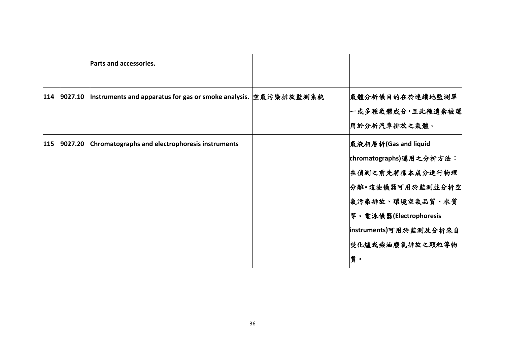|     |         | Parts and accessories.                                           |                                                                                                                                       |
|-----|---------|------------------------------------------------------------------|---------------------------------------------------------------------------------------------------------------------------------------|
| 114 | 9027.10 | Instruments and apparatus for gas or smoke analysis.  空氣污染排放監測系統 | 氣體分析儀目的在於連續地監測單 <br>一或多種氣體成分,且此種遺棄被運<br>用於分析汽車排放之氣體。                                                                                  |
| 115 | 9027.20 | Chromatographs and electrophoresis instruments                   | 氣液相層析(Gas and liquid<br> chromatographs)運用之分析方法:<br>在偵測之前先將樣本成分進行物理<br>分離。這些儀器可用於監測並分析空<br>氣污染排放、環境空氣品質、水質<br> 等。電泳儀器(Electrophoresis |
|     |         |                                                                  | instruments)可用於監測及分析來自<br> 焚化爐或柴油廢氣排放之顆粒等物 <br>質。                                                                                     |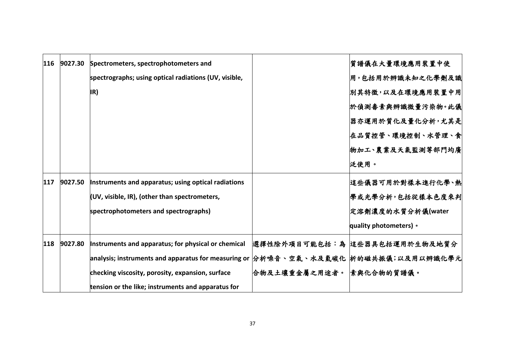| 116 | 9027.30 | Spectrometers, spectrophotometers and                                               |                          | 質譜儀在大量環境應用裝置中使                |
|-----|---------|-------------------------------------------------------------------------------------|--------------------------|-------------------------------|
|     |         | spectrographs; using optical radiations (UV, visible,                               |                          | 用,包括用於辨識未知之化學劑及識              |
|     |         | IR)                                                                                 |                          | 別其特徵,以及在環境應用裝置中用              |
|     |         |                                                                                     |                          | 於偵測毒素與辨識微量污染物。此儀              |
|     |         |                                                                                     |                          | 器亦運用於質化及量化分析,尤其是              |
|     |         |                                                                                     |                          | 在品質控管、環境控制、水管理、食              |
|     |         |                                                                                     |                          | 物加工、農業及天氣監測等部門均廣              |
|     |         |                                                                                     |                          | 泛使用。                          |
| 117 | 9027.50 | Instruments and apparatus; using optical radiations                                 |                          | 這些儀器可用於對樣本進行化學、熱              |
|     |         | (UV, visible, IR), (other than spectrometers,                                       |                          | 學或光學分析,包括從樣本色度來判              |
|     |         | spectrophotometers and spectrographs)                                               |                          | 定溶劑濃度的水質分析儀(water             |
|     |         |                                                                                     |                          | quality photometers) •        |
| 118 | 9027.80 | Instruments and apparatus; for physical or chemical                                 |                          | 選擇性除外項目可能包括:為 适些器具包括運用於生物及地質分 |
|     |         | analysis; instruments and apparatus for measuring or 分析噪音、空氣、水及氫碳化 析的磁共振儀;以及用以辨識化學元 |                          |                               |
|     |         | checking viscosity, porosity, expansion, surface                                    | 合物及土壤重金屬之用途者。 素與化合物的質譜儀。 |                               |
|     |         | tension or the like; instruments and apparatus for                                  |                          |                               |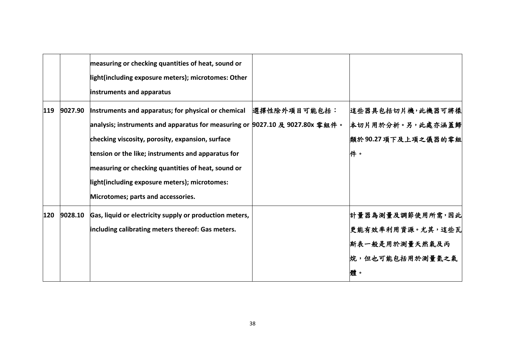|     |         | measuring or checking quantities of heat, sound or<br>light(including exposure meters); microtomes: Other<br>instruments and apparatus                                                                                                                                                                                                                                                     |              |                                                                                  |
|-----|---------|--------------------------------------------------------------------------------------------------------------------------------------------------------------------------------------------------------------------------------------------------------------------------------------------------------------------------------------------------------------------------------------------|--------------|----------------------------------------------------------------------------------|
| 119 | 9027.90 | Instruments and apparatus; for physical or chemical<br>analysis; instruments and apparatus for measuring or 9027.10 及 9027.80x 零組件。<br>checking viscosity, porosity, expansion, surface<br>tension or the like; instruments and apparatus for<br>measuring or checking quantities of heat, sound or<br>light(including exposure meters); microtomes:<br>Microtomes; parts and accessories. | 選擇性除外項目可能包括: | 這些器具包括切片機,此機器可將樣<br>本切片用於分析。另,此處亦涵蓋歸<br>類於90.27項下及上項之儀器的零組<br>件。                 |
| 120 | 9028.10 | Gas, liquid or electricity supply or production meters,<br>including calibrating meters thereof: Gas meters.                                                                                                                                                                                                                                                                               |              | 計量器為測量及調節使用所需,因此<br>更能有效率利用資源。尤其,這些瓦<br>斯表一般是用於測量天然氣及丙<br> 烷,但也可能包括用於測量氦之氣<br>體。 |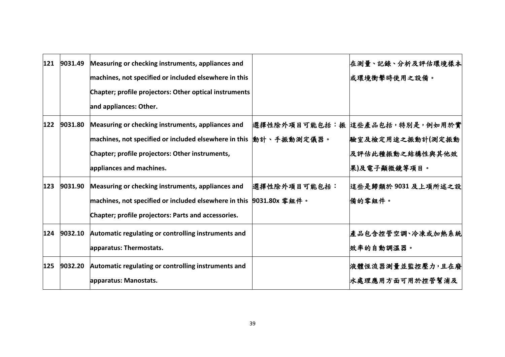| 121   | 9031.49 | Measuring or checking instruments, appliances and                  |              | 在測量、記錄、分析及評估環境樣本               |
|-------|---------|--------------------------------------------------------------------|--------------|--------------------------------|
|       |         | machines, not specified or included elsewhere in this              |              | 或環境衝擊時使用之設備。                   |
|       |         | Chapter; profile projectors: Other optical instruments             |              |                                |
|       |         | and appliances: Other.                                             |              |                                |
| $122$ | 9031.80 | Measuring or checking instruments, appliances and                  |              | 選擇性除外項目可能包括:振 這些產品包括,特別是,例如用於實 |
|       |         | machines, not specified or included elsewhere in this  動計、手振動測定儀器。 |              | 驗室及檢定用途之振動計(測定振動               |
|       |         | Chapter; profile projectors: Other instruments,                    |              | 及評估此種振動之結構性與其他效                |
|       |         | appliances and machines.                                           |              | 果)及電子顯微鏡等項目。                   |
| $123$ | 9031.90 | Measuring or checking instruments, appliances and                  | 選擇性除外項目可能包括: | 這些是歸類於 9031 及上項所述之設            |
|       |         |                                                                    |              | 備的零組件。                         |
|       |         | Chapter; profile projectors: Parts and accessories.                |              |                                |
| 124   | 9032.10 | Automatic regulating or controlling instruments and                |              | 產品包含控管空調丶冷凍或加熱系統               |
|       |         | apparatus: Thermostats.                                            |              | 效率的自動調溫器。                      |
| 125   | 9032.20 | Automatic regulating or controlling instruments and                |              | 液體恆流器測量並監控壓力,且在廢               |
|       |         | apparatus: Manostats.                                              |              | 水處理應用方面可用於控管幫浦及                |
|       |         |                                                                    |              |                                |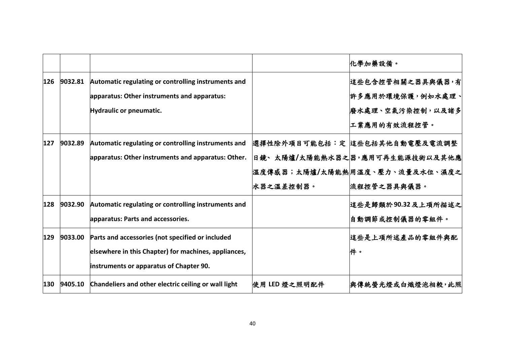|     |         |                                                      |               | 化學加藥設備。                         |
|-----|---------|------------------------------------------------------|---------------|---------------------------------|
| 126 | 9032.81 | Automatic regulating or controlling instruments and  |               | 這些包含控管相關之器具與儀器,有                |
|     |         | apparatus: Other instruments and apparatus:          |               | 許多應用於環境保護,例如水處理、                |
|     |         | Hydraulic or pneumatic.                              |               | 廢水處理、空氣污染控制,以及諸多                |
|     |         |                                                      |               | 工業應用的有效流程控管。                    |
| 127 | 9032.89 | Automatic regulating or controlling instruments and  |               | 選擇性除外項目可能包括:定 适些包括其他自動電壓及電流調整   |
|     |         | apparatus: Other instruments and apparatus: Other.   |               | 日鏡、太陽爐/太陽能熱水器之 器,應用可再生能源技術以及其他應 |
|     |         |                                                      |               | 溫度傳感器;太陽爐/太陽能熱 用溫度、壓力、流量及水位、濕度之 |
|     |         |                                                      | 水器之溫差控制器。     | 流程控管之器具與儀器。                     |
| 128 | 9032.90 | Automatic regulating or controlling instruments and  |               | 這些是歸類於90.32及上項所描述之              |
|     |         | apparatus: Parts and accessories.                    |               | 自動調節或控制儀器的零組件。                  |
| 129 | 9033.00 | Parts and accessories (not specified or included     |               | 這些是上項所述產品的零組件與配                 |
|     |         | elsewhere in this Chapter) for machines, appliances, |               | 件。                              |
|     |         | instruments or apparatus of Chapter 90.              |               |                                 |
| 130 | 9405.10 | Chandeliers and other electric ceiling or wall light | 使用 LED 燈之照明配件 | 與傳統螢光燈或白熾燈泡相較,此照                |